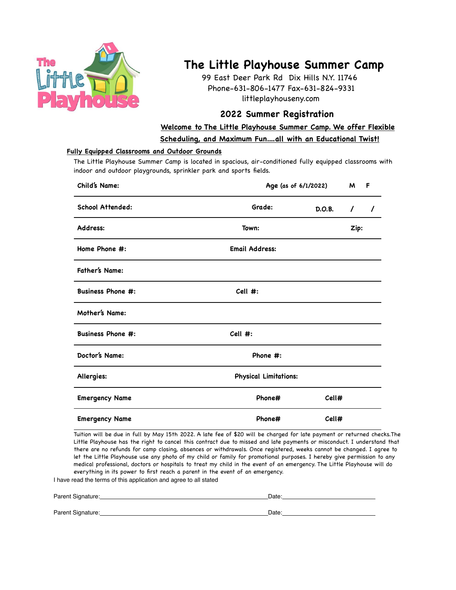

## **The Little Playhouse Summer Camp**

99 East Deer Park Rd Dix Hills N.Y. 11746 Phone-631-806-1477 Fax-631-824-9331 littleplayhouseny.com

## **2022 Summer Registration**

**Welcome to The Little Playhouse Summer Camp. We offer Flexible Scheduling, and Maximum Fun....all with an Educational Twist!**

## **Fully Equipped Classrooms and Outdoor Grounds**

The Little Playhouse Summer Camp is located in spacious, air-conditioned fully equipped classrooms with indoor and outdoor playgrounds, sprinkler park and sports fields.

| Child's Name:            |                              | Age (as of 6/1/2022) |          | F        |  |
|--------------------------|------------------------------|----------------------|----------|----------|--|
| <b>School Attended:</b>  | Grade:                       | D.O.B.               | $\prime$ | $\prime$ |  |
| Address:                 | Town:                        |                      |          | Zip:     |  |
| Home Phone #:            | <b>Email Address:</b>        |                      |          |          |  |
| Father's Name:           |                              |                      |          |          |  |
| <b>Business Phone #:</b> | Cell #:                      |                      |          |          |  |
| Mother's Name:           |                              |                      |          |          |  |
| <b>Business Phone #:</b> | Cell #:                      |                      |          |          |  |
| Doctor's Name:           | Phone #:                     |                      |          |          |  |
| Allergies:               | <b>Physical Limitations:</b> |                      |          |          |  |
| <b>Emergency Name</b>    | Phone#                       | Cell#                |          |          |  |
| <b>Emergency Name</b>    | Phone#                       | Cell#                |          |          |  |

Tuition will be due in full by May 15th 2022. A late fee of \$20 will be charged for late payment or returned checks.The Little Playhouse has the right to cancel this contract due to missed and late payments or misconduct. I understand that there are no refunds for camp closing, absences or withdrawals. Once registered, weeks cannot be changed. I agree to let the Little Playhouse use any photo of my child or family for promotional purposes. I hereby give permission to any medical professional, doctors or hospitals to treat my child in the event of an emergency. The Little Playhouse will do everything in its power to first reach a parent in the event of an emergency.

I have read the terms of this application and agree to all stated

| Parent Signature: | Date: |
|-------------------|-------|
|                   |       |
| Parent Signature: | Date: |
|                   |       |